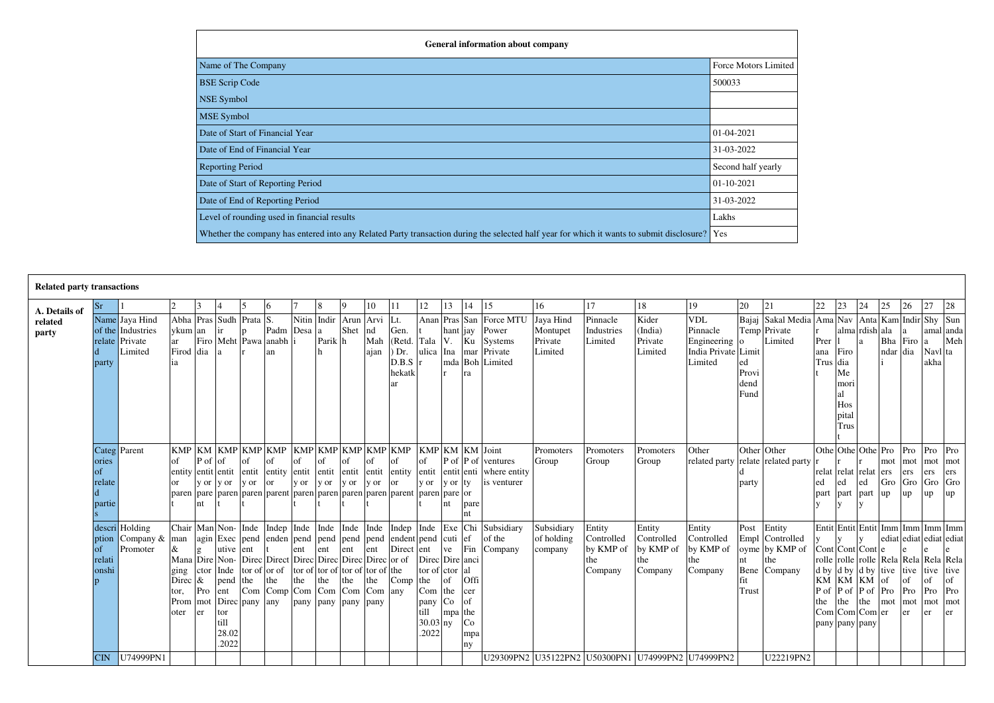| <b>General information about company</b>                                                                                                      |                             |
|-----------------------------------------------------------------------------------------------------------------------------------------------|-----------------------------|
| Name of The Company                                                                                                                           | <b>Force Motors Limited</b> |
| <b>BSE Scrip Code</b>                                                                                                                         | 500033                      |
| NSE Symbol                                                                                                                                    |                             |
| <b>MSE</b> Symbol                                                                                                                             |                             |
| Date of Start of Financial Year                                                                                                               | $01-04-2021$                |
| Date of End of Financial Year                                                                                                                 | 31-03-2022                  |
| <b>Reporting Period</b>                                                                                                                       | Second half yearly          |
| Date of Start of Reporting Period                                                                                                             | $01-10-2021$                |
| Date of End of Reporting Period                                                                                                               | 31-03-2022                  |
| Level of rounding used in financial results                                                                                                   | Lakhs                       |
| Whether the company has entered into any Related Party transaction during the selected half year for which it wants to submit disclosure? Yes |                             |

| <b>Related party transactions</b> |                                 |                                                                  |                                                                                           |                              |                                                                    |                                                                       |                                                                                      |                                                                                                                  |                                         |            |                   |                                                                                                                                                                                                                            |                                                                                           |                          |                                                                   |                                                                                             |                                             |                                                     |                                                     |                                                                         |                                             |                                                               |                     |                                                                                                                                                                                                                          |     |                            |                                |                                 |                                                   |
|-----------------------------------|---------------------------------|------------------------------------------------------------------|-------------------------------------------------------------------------------------------|------------------------------|--------------------------------------------------------------------|-----------------------------------------------------------------------|--------------------------------------------------------------------------------------|------------------------------------------------------------------------------------------------------------------|-----------------------------------------|------------|-------------------|----------------------------------------------------------------------------------------------------------------------------------------------------------------------------------------------------------------------------|-------------------------------------------------------------------------------------------|--------------------------|-------------------------------------------------------------------|---------------------------------------------------------------------------------------------|---------------------------------------------|-----------------------------------------------------|-----------------------------------------------------|-------------------------------------------------------------------------|---------------------------------------------|---------------------------------------------------------------|---------------------|--------------------------------------------------------------------------------------------------------------------------------------------------------------------------------------------------------------------------|-----|----------------------------|--------------------------------|---------------------------------|---------------------------------------------------|
| A. Details of                     | Sr                              |                                                                  |                                                                                           | 3                            |                                                                    |                                                                       | 16                                                                                   |                                                                                                                  |                                         |            | 10                | <sup>11</sup>                                                                                                                                                                                                              | 12                                                                                        | 13                       | 14                                                                | 15                                                                                          | 16                                          | 17                                                  | 18                                                  | 19                                                                      | 20                                          | 21                                                            | 22                  | 23                                                                                                                                                                                                                       | 24  | 25                         | 26                             | 27                              | 28                                                |
| related<br>party                  | party                           | Name Jaya Hind<br>of the Industries<br>relate Private<br>Limited | ykum an<br>ar<br>Firod dia a                                                              |                              | lir.                                                               | Abha Pras Sudh Prata S.                                               | Padm Desa a<br>Firo Meht Pawa anabh i<br>an                                          |                                                                                                                  | Nitin Indir Arun Arvi<br>Parik h<br>lh. | Shet       | nd<br>Mah<br>ajan | $\mathbf{L}$ t.<br>Gen.<br>[Red.   Tala   V.<br>$)$ Dr.<br>D.B.S r<br>hekatk<br>ar                                                                                                                                         |                                                                                           | hant jay                 | Ku<br>ra                                                          | Anan Pras San Force MTU<br>Power<br>Systems<br>ulica Ina   mar   Private<br>mda Boh Limited | Jaya Hind<br>Montupet<br>Private<br>Limited | Pinnacle<br>Industries<br>Limited                   | Kider<br>(India)<br>Private<br>Limited              | <b>VDL</b><br>Pinnacle<br>Engineering<br>India Private Limit<br>Limited | $\mathbf{o}$<br>ed<br>Provi<br>dend<br>Fund | Bajaj Sakal Media<br>Temp Private<br>Limited                  | Prer<br>ana<br>Trus | Ama Nav Anta Kam Indir Shy Sun<br>alma rdish ala<br>Firo<br>dia<br>Me<br>mori<br>Hos<br>pital<br>Trus                                                                                                                    | la. | ndar dia                   | Bha Firo                       | l a<br>Navl ta<br>akha          | amal anda<br>Meh                                  |
|                                   | ories<br>οf<br>relate<br>partie | Categ Parent                                                     | of                                                                                        | $P \circ f$ of<br>v or<br>nt | y or                                                               | $\alpha$ f<br>v or                                                    |                                                                                      | of<br>v or                                                                                                       | y or                                    | y or       | y or              | $\sigma$<br>entity entit entit entit entity entit entit entit entit entity entit entit entit entit<br><sub>or</sub><br>paren   pare   paren   paren   paren   paren   paren   paren   paren   paren   paren   paren   pare | of<br>y or                                                                                | $P \circ f$ P of<br>y or | ty<br>pare<br>nt                                                  | ventures<br>where entity<br>is venturer                                                     | Promoters<br>Group                          | Promoters<br>Group                                  | Promoters<br>Group                                  | Other<br>related party                                                  | party                                       | Other Other<br>relate related party                           | ed<br>part          | Othe Othe Othe Pro<br>relat relat relat<br>part part                                                                                                                                                                     | ed  | mot<br>ers<br>Gro<br>$\mu$ | Pro<br>mot<br>ers<br>Gro<br>up | Pro<br>ers<br>$Gro$ $Gro$<br>up | Pro<br>mot mot<br>ers<br>up                       |
|                                   | of<br>relati<br>onshi           | descri Holding<br>ption Company $\&$<br>Promoter                 | Chair Man Non-Inde<br>man<br>Mana Dire Non-<br>ging<br>Direc $\&$<br>tor,<br>Prom<br>oter | Pro<br>er                    | utive<br>ctor Inde<br>pend<br>ent<br>tor<br>till<br>28.02<br>.2022 | ent<br>$\vert \text{tor of} \vert$ or of<br>the<br>mot Direc pany any | Indep Inde Inde<br>Direc Direct Direc Direc Direc Direc or of<br>the<br>$Com$ $Comp$ | ent<br>$\vert$ tor of $\vert$ tor of $\vert$ tor of $\vert$ tor of $\vert$ the<br>the<br>$ Com Com Com Com $ any | ent<br>the<br>pany pany pany pany       | ent<br>the | ent<br>the        | Inde Inde Indep Inde Exe Chi<br> agin Exec   pend   enden   pend   pend   pend   endent   pend   cuti<br>Direct ent<br>Comp                                                                                                | Direc Dire anci<br>tor of ctor<br>the<br>$Com$ the<br>pany<br>till<br>$30.03$ ny<br>.2022 | ve<br>of<br>Co<br>mpa    | lef<br>Fin<br>l al<br>Offi<br>cer<br>of<br>the<br>Co<br>mpa<br>ny | Subsidiary<br>of the<br>Company                                                             | Subsidiary<br>of holding<br>company         | Entity<br>Controlled<br>by KMP of<br>the<br>Company | Entity<br>Controlled<br>by KMP of<br>the<br>Company | Entity<br>Controlled<br>by KMP of<br>the<br>Company                     | Post<br>Empl<br>nt<br>fit<br><b>Trust</b>   | Entity<br>Controlled<br>oyme by KMP of<br>the<br>Bene Company | P of<br>the         | Entit Entit Entit Imm Imm Imm Imm<br>Cont Cont Cont e<br>rolle   rolle   rolle   Rela   Rela   Rela   Rela  <br>$d$ by $d$ by $d$ by tive<br>KM KM KM<br>$P \circ f$ P of Pro<br>the<br>Com Com Com er<br>pany pany pany | the | of<br>mot                  | tive<br>of<br>Pro<br>mot<br>er | tive tive<br>of<br>Pro<br>mot   | ediat ediat ediat ediat<br>of<br>Pro<br>mot<br>er |
|                                   | CIN                             | U74999PN1                                                        |                                                                                           |                              |                                                                    |                                                                       |                                                                                      |                                                                                                                  |                                         |            |                   |                                                                                                                                                                                                                            |                                                                                           |                          |                                                                   |                                                                                             |                                             |                                                     | U29309PN2 U35122PN2 U50300PN1 U74999PN2 U74999PN2   |                                                                         |                                             | U22219PN2                                                     |                     |                                                                                                                                                                                                                          |     |                            |                                |                                 |                                                   |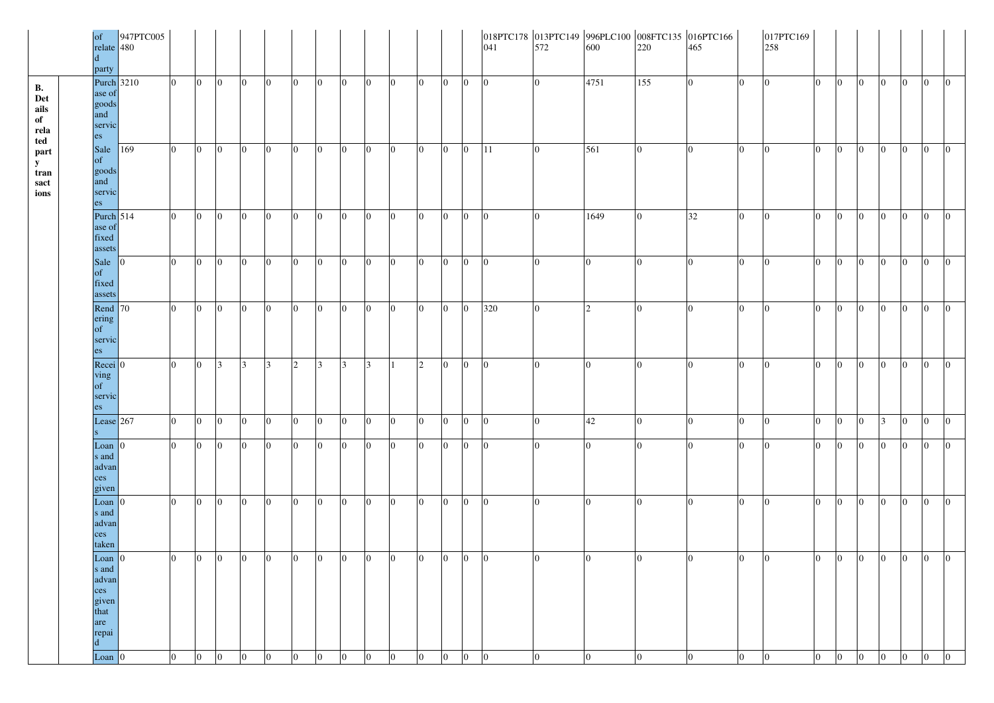|                                               | of<br>relate 480<br>$\mathbf d$<br>party                    | 947PTC005 |                |                |                 |                |                |                |                 |                |                 |                |                |                 |                |                 |                 |                |                 |                |                | 017PTC169<br>258 |                |                 |                 |                 |                |                |                 |
|-----------------------------------------------|-------------------------------------------------------------|-----------|----------------|----------------|-----------------|----------------|----------------|----------------|-----------------|----------------|-----------------|----------------|----------------|-----------------|----------------|-----------------|-----------------|----------------|-----------------|----------------|----------------|------------------|----------------|-----------------|-----------------|-----------------|----------------|----------------|-----------------|
| <b>B.</b><br>Det<br>ails<br>of<br>rela<br>ted | <b>Purch</b> 3210<br>ase of<br>goods<br>and<br>servic<br>es |           | $\overline{0}$ | $\overline{0}$ | $\overline{0}$  | $\overline{0}$ | $\overline{0}$ | $\overline{0}$ | $\overline{0}$  | $\overline{0}$ | $\overline{0}$  | $ 0\rangle$    | $ 0\rangle$    | $\overline{0}$  | $\overline{0}$ | $\overline{0}$  | $\overline{0}$  | 4751           | 155             | $\overline{0}$ | $\overline{0}$ | $\overline{0}$   | $\overline{0}$ | $\overline{0}$  | $\overline{0}$  | $\overline{0}$  | $\overline{0}$ | $ 0\rangle$    | $\overline{0}$  |
| part<br>${\bf y}$<br>tran<br>sact<br>ions     | Sale<br>of<br>goods<br>and<br>servic<br>es                  | 169       | $\overline{0}$ | $\overline{0}$ | $\overline{0}$  | $\overline{0}$ | $\overline{0}$ | $\overline{0}$ | $\overline{0}$  | $\overline{0}$ | $\overline{0}$  | $ 0\rangle$    | $\overline{0}$ | $\vert 0 \vert$ | $\overline{0}$ | 11              | $\overline{0}$  | 561            |                 | $\overline{0}$ | $\overline{0}$ | $\overline{0}$   | $\overline{0}$ | $\overline{0}$  | $\overline{0}$  | $\overline{0}$  | $\overline{0}$ | $\overline{0}$ | $\overline{0}$  |
|                                               | Purch $514$<br>ase of<br>fixed<br>assets                    |           | $\overline{0}$ | $\overline{0}$ | $\overline{0}$  | $\overline{0}$ | $\overline{0}$ | $\overline{0}$ | $\overline{0}$  | $\overline{0}$ | $\overline{0}$  | $\overline{0}$ | $\overline{0}$ | $\overline{0}$  | $\overline{0}$ | $\overline{0}$  | $\overline{0}$  | 1649           | 10              | 32             | $\overline{0}$ | $\overline{0}$   | $\overline{0}$ | $\vert 0 \vert$ | $\overline{0}$  | $\overline{0}$  | $\overline{0}$ | $\overline{0}$ | $\overline{0}$  |
|                                               | Sale $ 0 $<br>of<br>fixed<br>assets                         |           | $\overline{0}$ | $\Omega$       | $\vert 0 \vert$ | $\overline{0}$ | $\overline{0}$ | $\overline{0}$ | $\vert 0 \vert$ | $\overline{0}$ | $\overline{0}$  | $\overline{0}$ | $\overline{0}$ | $\overline{0}$  | $ 0\rangle$    | $\overline{0}$  | $\overline{0}$  | 10             |                 | $\Omega$       | $\overline{0}$ | $\Omega$         | $\overline{0}$ | $\overline{0}$  | $\overline{0}$  | $\overline{0}$  | $\overline{0}$ | $\overline{0}$ | $\overline{0}$  |
|                                               | Rend $ 70 $<br>ering<br>of<br>servic<br>es                  |           | $\Omega$       | $\Omega$       | $\vert 0 \vert$ | $\overline{0}$ | $\overline{0}$ | $\overline{0}$ | $\overline{0}$  | $\overline{0}$ | $\overline{0}$  | $\overline{0}$ | $\overline{0}$ | $\overline{0}$  | $\overline{0}$ | 320             | $\overline{0}$  | 2              |                 | l0.            | $\overline{0}$ | I٥               | $\overline{0}$ | $\overline{0}$  | $\Omega$        | $\overline{0}$  | $\overline{0}$ | $\overline{0}$ | $\Omega$        |
|                                               | $Rec$ eci $ 0$<br>ving<br>of<br>servic<br>es                |           | $\overline{0}$ | $\overline{0}$ | $\overline{3}$  | $\overline{3}$ | 3              | $\sqrt{2}$     | <sup>3</sup>    | $\overline{3}$ | $\vert 3 \vert$ |                | 2              | $\vert 0 \vert$ | $\overline{0}$ | $\overline{0}$  | $\overline{0}$  | $\overline{0}$ |                 | $\overline{0}$ | $\overline{0}$ | $\overline{0}$   | $\overline{0}$ | $\overline{0}$  | $\vert 0 \vert$ | $\overline{0}$  | $\overline{0}$ | $\overline{0}$ | $\vert 0 \vert$ |
|                                               | Lease 267<br>IS.                                            |           | $\overline{0}$ | $\overline{0}$ | $\overline{0}$  | $\overline{0}$ | $\overline{0}$ | $\mathbf{0}$   | $\overline{0}$  | $\overline{0}$ | $\overline{0}$  | $\overline{0}$ | $ 0\rangle$    | $\overline{0}$  | $\overline{0}$ | $\vert 0 \vert$ | $ 0\rangle$     | 42             |                 | $\overline{0}$ | $\overline{0}$ | $ 0\rangle$      | $\overline{0}$ | $\overline{0}$  | $\overline{0}$  | $\vert 3 \vert$ | $\overline{0}$ | $\overline{0}$ | $ 0\rangle$     |
|                                               | Loan<br>s and<br>advan<br>ces<br>given                      | I۵        | $\overline{0}$ | $\overline{0}$ | $\overline{0}$  | $\overline{0}$ | $\overline{0}$ | $\mathbf{0}$   | $\overline{0}$  | $\overline{0}$ | $\overline{0}$  | $\overline{0}$ | $ 0\rangle$    | $\vert 0 \vert$ | $\overline{0}$ | $ 0\rangle$     | $ 0\rangle$     | $\overline{0}$ | $\overline{0}$  | $\overline{0}$ | $\overline{0}$ | $ 0\rangle$      | $\overline{0}$ | $\overline{0}$  | $\overline{0}$  | $\overline{0}$  | $\overline{0}$ | $ 0\rangle$    | $\overline{0}$  |
|                                               | Loan $ 0$<br>s and<br>advan<br>ces<br>taken                 |           | $\overline{0}$ | $\overline{0}$ | $\overline{0}$  | $\overline{0}$ | $\overline{0}$ | $\overline{0}$ | $\overline{0}$  | $\overline{0}$ | $\overline{0}$  | $\overline{0}$ | $ 0\rangle$    | $ 0\rangle$     | $ 0\rangle$    | $\vert 0 \vert$ | $\overline{0}$  | $\overline{0}$ | 10              | $\overline{0}$ | $\overline{0}$ | $ 0\rangle$      | $\overline{0}$ | $ 0\rangle$     | $\vert 0 \vert$ | $\overline{0}$  | $ 0\rangle$    | $\overline{0}$ | $ 0\rangle$     |
|                                               | Loan $ 0$<br>s and<br>advan<br>ces<br>given<br>that         |           | $\overline{0}$ | $\overline{0}$ | $\overline{0}$  | $\overline{0}$ | $\overline{0}$ | $\overline{0}$ | $\overline{0}$  | $\overline{0}$ | $\overline{0}$  | $ 0\rangle$    | $ 0\rangle$    | $\overline{0}$  | $\overline{0}$ | $\overline{0}$  | $\overline{0}$  | $\overline{0}$ | I٥              | $\overline{0}$ | $\overline{0}$ | $\overline{0}$   | $\overline{0}$ | $\overline{0}$  | $\overline{0}$  | $\overline{0}$  | $ 0\rangle$    | $\overline{0}$ | $\vert 0 \vert$ |
|                                               | are<br>repai<br>$\mathbf{d}$<br>Loan $ 0$                   |           | $\overline{0}$ | $\overline{0}$ | $\overline{0}$  | $\overline{0}$ | $\overline{0}$ | $\overline{0}$ | $\overline{0}$  | $\overline{0}$ | $\overline{0}$  | $\overline{0}$ | $ 0\rangle$    | $\overline{0}$  | $\overline{0}$ | $\overline{0}$  | $\vert 0 \vert$ | $\mathbf{0}$   | $\vert 0 \vert$ | $\overline{0}$ | $\overline{0}$ | $\vert 0 \vert$  | $\overline{0}$ | $ 0\rangle$     | $\vert 0 \vert$ | $\Omega$        | $ 0\rangle$    | $\overline{0}$ | $\overline{0}$  |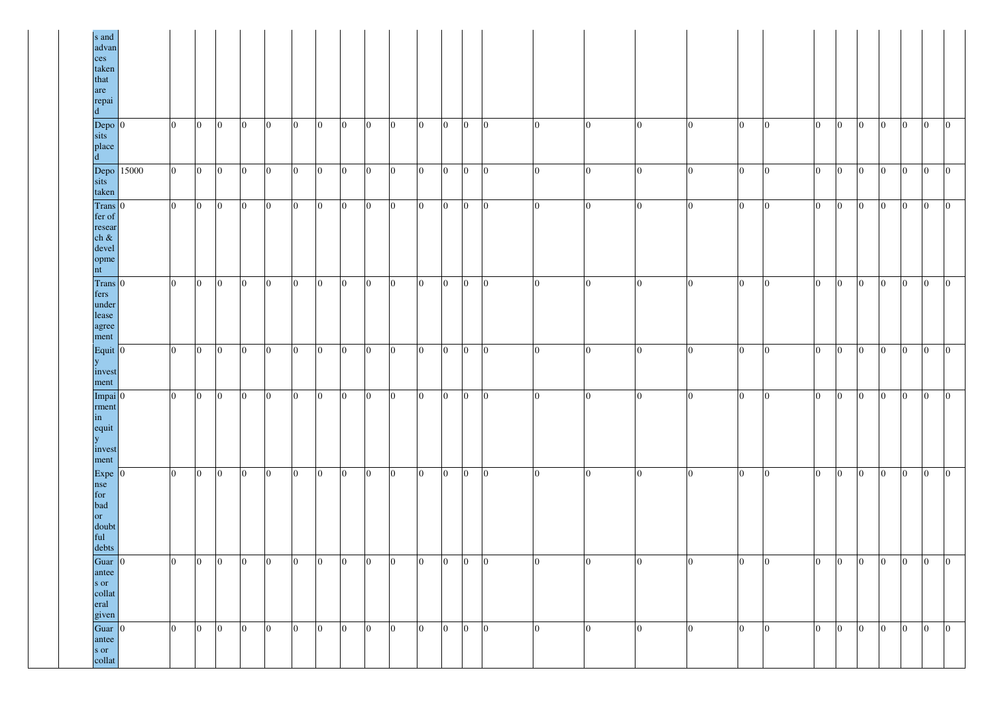| s and<br>advan<br>ces<br>taken<br>that<br>are<br>repai                |       |                |                 |                |                |                |                 |                |                 |                 |                 |                 |                 |                |                  |                  |                 |                |                |                 |                 |                 |                |                 |                 |                |                 |                 |
|-----------------------------------------------------------------------|-------|----------------|-----------------|----------------|----------------|----------------|-----------------|----------------|-----------------|-----------------|-----------------|-----------------|-----------------|----------------|------------------|------------------|-----------------|----------------|----------------|-----------------|-----------------|-----------------|----------------|-----------------|-----------------|----------------|-----------------|-----------------|
| Depo 0<br>sits<br>place                                               |       | $\overline{0}$ | $\overline{0}$  | $ 0\rangle$    | $\overline{0}$ | $\overline{0}$ | $\overline{0}$  | $\overline{0}$ | $ 0\rangle$     | $\overline{0}$  | $\overline{0}$  | $\overline{0}$  | $\vert 0 \vert$ | $\overline{0}$ | $\overline{0}$   | $\mathbf{0}$     | $\overline{0}$  | $\overline{0}$ | $\overline{0}$ | $\vert 0 \vert$ | $\vert 0 \vert$ | $\overline{0}$  | $\overline{0}$ | $\overline{0}$  | $\vert 0 \vert$ | $\overline{0}$ | $ 0\rangle$     | $\overline{0}$  |
| Depo<br>sits<br>taken                                                 | 15000 | $\overline{0}$ | $\overline{0}$  | $\overline{0}$ | $\overline{0}$ | $\overline{0}$ | $\overline{0}$  | $\overline{0}$ | $\overline{0}$  | $\overline{0}$  | $\overline{0}$  | $\overline{0}$  | $\overline{0}$  | $\overline{0}$ | $\boldsymbol{0}$ | $\theta$         | $ 0\rangle$     | $\overline{0}$ | $\Omega$       | $\overline{0}$  | $ 0\rangle$     | $\vert 0 \vert$ | $\overline{0}$ | $\overline{0}$  | $\overline{0}$  | $\mathbf{0}$   | $ 0\rangle$     | $\overline{0}$  |
| Trans 0<br>fer of<br>resear<br>$ch \&$<br>devel<br>opme<br>nt         |       | $ 0\rangle$    | $\overline{0}$  | $\overline{0}$ | $\overline{0}$ | $\overline{0}$ | $\overline{0}$  | $\overline{0}$ | $\vert 0 \vert$ | $\overline{0}$  | $\overline{0}$  | $\overline{0}$  | $\overline{0}$  | $\overline{0}$ | $\boldsymbol{0}$ | $\overline{0}$   | $ 0\rangle$     | $\overline{0}$ | $\overline{0}$ | $\vert 0 \vert$ | $ 0\rangle$     | $\vert 0 \vert$ | $\overline{0}$ | $\overline{0}$  | $\vert 0 \vert$ | $\overline{0}$ | $ 0\rangle$     | $\overline{0}$  |
| Trans 0<br>fers<br>under<br>lease<br>agree<br>ment                    |       | $\overline{0}$ | $ 0\rangle$     | $\vert$ 0      | $\overline{0}$ | $\overline{0}$ | $\vert 0 \vert$ | $\overline{0}$ | $ 0\rangle$     | $\overline{0}$  | $\vert 0 \vert$ | $\overline{0}$  | $\overline{0}$  | $\overline{0}$ | $\overline{0}$   | $\mathbf{0}$     | $\overline{0}$  | $\overline{0}$ | $\overline{0}$ | $ 0\rangle$     | $ 0\rangle$     | $\vert$ 0       | $\overline{0}$ | $\vert 0 \vert$ | $\overline{0}$  | $\overline{0}$ | $ 0\rangle$     | $\vert 0 \vert$ |
| Equit $\vert 0 \vert$<br>y.<br>invest<br>ment                         |       | $\overline{0}$ | $\overline{0}$  | $\overline{0}$ | $\overline{0}$ | $\overline{0}$ | $\overline{0}$  | $\overline{0}$ | $\overline{0}$  | $\overline{0}$  | $ 0\rangle$     | $\overline{0}$  | $\overline{0}$  | $\overline{0}$ | $\mathbf{0}$     | $\Omega$         | $\overline{0}$  | $\overline{0}$ | $\overline{0}$ | $\overline{0}$  | $ 0\rangle$     | $\vert 0 \vert$ | $\overline{0}$ | $\overline{0}$  | $\overline{0}$  | $\overline{0}$ | $ 0\rangle$     | $\overline{0}$  |
| Impai $ 0 $<br>rment<br>in<br>equit<br>$\mathbf{y}$<br>invest<br>ment |       | $\overline{0}$ | $\vert 0 \vert$ | $ 0\rangle$    | $ 0\rangle$    | $ 0\rangle$    | $\overline{0}$  | $\overline{0}$ | $ 0\rangle$     | $\vert 0 \vert$ | $ 0\rangle$     | $\vert 0 \vert$ | $\vert 0 \vert$ | $\overline{0}$ | $\mathbf{0}$     | $\boldsymbol{0}$ | $ 0\rangle$     | $\overline{0}$ | $\overline{0}$ | $ 0\rangle$     | $\overline{0}$  | $\overline{0}$  | $\overline{0}$ | $ 0\rangle$     | $\vert 0 \vert$ | $\overline{0}$ | $\overline{0}$  | $\overline{0}$  |
| $Expe$ 0<br>nse<br>for<br>bad<br>or<br>doubt<br>ful<br>debts          |       | $\overline{0}$ | $\overline{0}$  | $ 0\rangle$    | $\overline{0}$ | $\overline{0}$ | $\vert 0 \vert$ | $\overline{0}$ | $ 0\rangle$     | $\overline{0}$  | $\vert 0 \vert$ | $\overline{0}$  | $\vert 0 \vert$ | $\overline{0}$ | $\overline{0}$   | $\boldsymbol{0}$ | $ 0\rangle$     | $\mathbf{0}$   | $\overline{0}$ | $\vert 0 \vert$ | $\vert 0 \vert$ | $\vert 0 \vert$ | $\overline{0}$ | $\overline{0}$  | $\overline{0}$  | $\overline{0}$ | $ 0\rangle$     | $\vert 0 \vert$ |
| Guar $ 0 $<br>antee<br>s or<br>collat<br>eral<br>given                |       | $ 0\rangle$    | $\overline{0}$  | $\overline{0}$ | $\overline{0}$ | $\overline{0}$ | $\vert 0 \vert$ | $\overline{0}$ | $ 0\rangle$     | $\vert 0 \vert$ | $\overline{0}$  | $\overline{0}$  | $\vert 0 \vert$ | $\overline{0}$ | $\overline{0}$   | $\boldsymbol{0}$ | $\vert 0 \vert$ | $\overline{0}$ | $\overline{0}$ | $\overline{0}$  | $\overline{0}$  | $\vert 0 \vert$ | $\overline{0}$ | $ 0\rangle$     | $\overline{0}$  | $\overline{0}$ | $ 0\rangle$     | $\overline{0}$  |
| Guar $ 0 $<br>antee<br>s or<br>collat                                 |       | $\overline{0}$ | $\overline{0}$  | $ 0\rangle$    | $\mathbf{0}$   | $\overline{0}$ | $\vert 0 \vert$ | $\overline{0}$ | $ 0\rangle$     | $\overline{0}$  | $\vert 0 \vert$ | $\overline{0}$  | $\overline{0}$  | $\overline{0}$ | $\overline{0}$   | $\overline{0}$   | $ 0\rangle$     | $\overline{0}$ | $\overline{0}$ | $\overline{0}$  | $ 0\rangle$     | $\overline{0}$  | $\overline{0}$ | $\overline{0}$  | $\overline{0}$  | $\mathbf{0}$   | $\vert 0 \vert$ | $\vert 0 \vert$ |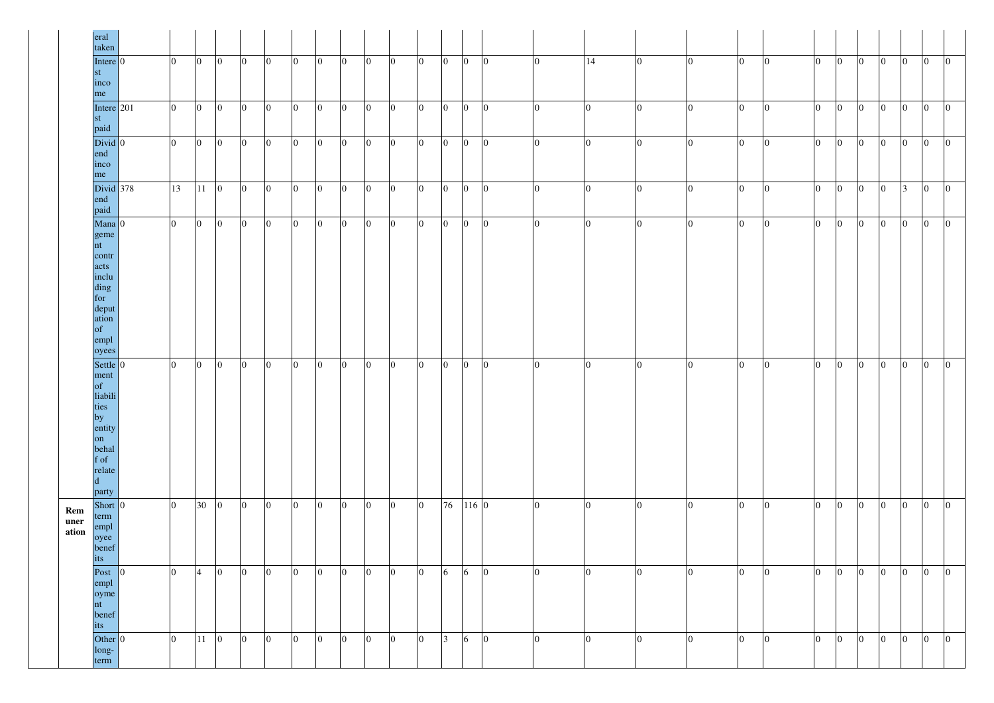|                      | eral<br>taken                                                                                                  |                |                 |                |                 |                |                |                 |                  |                |                |                |                |                 |                 |                |                |                |                |                  |    |                |                |                |                 |                 |                |                |
|----------------------|----------------------------------------------------------------------------------------------------------------|----------------|-----------------|----------------|-----------------|----------------|----------------|-----------------|------------------|----------------|----------------|----------------|----------------|-----------------|-----------------|----------------|----------------|----------------|----------------|------------------|----|----------------|----------------|----------------|-----------------|-----------------|----------------|----------------|
|                      | Intere $ 0 $<br>st<br>inco<br>me                                                                               | $ 0\rangle$    | $\overline{0}$  | $ 0\rangle$    | $ 0\rangle$     | $\overline{0}$ | $\overline{0}$ | $\overline{0}$  | $\overline{0}$   | $ 0\rangle$    | $\overline{0}$ | $ 0\rangle$    | $\overline{0}$ | $ 0\rangle$     | $\vert 0 \vert$ | $\overline{0}$ | 14             | $\overline{0}$ | $\overline{0}$ | $\overline{0}$   | I٥ | $\overline{0}$ | $\overline{0}$ | $\overline{0}$ | $ 0\rangle$     | $\overline{0}$  | $\overline{0}$ | $\overline{0}$ |
|                      | Intere $ 201$<br>$\operatorname{st}$<br>paid                                                                   | $\overline{0}$ | $\vert 0 \vert$ | $\overline{0}$ | $ 0\rangle$     | $\overline{0}$ | $\overline{0}$ | $\overline{0}$  | $\overline{0}$   | $\overline{0}$ | $\overline{0}$ | $\overline{0}$ | $\overline{0}$ | $ 0\rangle$     | $\overline{0}$  | $\overline{0}$ | $\overline{0}$ | $\overline{0}$ | $\overline{0}$ | $\overline{0}$   | 10 | $\Omega$       | $\overline{0}$ | $\overline{0}$ | $\overline{0}$  | $\overline{0}$  | $\overline{0}$ | $ 0\rangle$    |
|                      | $Divid$ 0<br>end<br>inco<br>me                                                                                 | $\overline{0}$ | $\overline{0}$  | $\overline{0}$ | $ 0\rangle$     | $\overline{0}$ | $\overline{0}$ | $\bf{0}$        | $\overline{0}$   | $\overline{0}$ | $\overline{0}$ | $ 0\rangle$    | $\overline{0}$ | $ 0\rangle$     | $\overline{0}$  | $\overline{0}$ | $\overline{0}$ | $\overline{0}$ | $ 0\rangle$    | $\overline{0}$   | 10 | $\Omega$       | $\overline{0}$ | $\overline{0}$ | $\overline{0}$  | $\overline{0}$  | $\overline{0}$ | $\overline{0}$ |
|                      | Divid $378$<br>end<br>paid                                                                                     | 13             | 11              | $ 0\rangle$    | $\vert 0 \vert$ | $\overline{0}$ | $\overline{0}$ | $\overline{0}$  | $\overline{0}$   | $ 0\rangle$    | $\overline{0}$ | $\overline{0}$ | $\Omega$       | $\vert 0 \vert$ | $\overline{0}$  | $\overline{0}$ | $\overline{0}$ | $\overline{0}$ | $\overline{0}$ | $\overline{0}$   |    |                | $ 0\rangle$    | $\overline{0}$ | $\overline{0}$  | $\mathcal{R}$   | $\overline{0}$ | $ 0\rangle$    |
|                      | $Mana$ 0<br>geme<br>nt<br>contr<br>acts<br>inclu<br>ding<br>for<br>deput<br>ation<br>of<br>empl<br>oyees       | $\overline{0}$ | $ 0\rangle$     | $\overline{0}$ | $ 0\rangle$     | $\overline{0}$ | $\overline{0}$ | $\overline{0}$  | $\overline{0}$   | $\overline{0}$ | $\overline{0}$ | $\overline{0}$ | $\mathbf{0}$   | $\vert 0 \vert$ | $\overline{0}$  | $\overline{0}$ | $\overline{0}$ | $\overline{0}$ | $\overline{0}$ | $\overline{0}$   |    |                | $ 0\rangle$    | $\overline{0}$ | $\overline{0}$  | $\overline{0}$  | $\overline{0}$ | $\overline{0}$ |
|                      | Settle $ 0 $<br>ment<br>of<br>liabili<br>ties<br>by<br>entity<br>on<br>behal<br>f of<br>relate<br> d <br>party | $\overline{0}$ | $\vert 0 \vert$ | $ 0\rangle$    | $ 0\rangle$     | $\overline{0}$ | $\overline{0}$ | $\overline{0}$  | $\overline{0}$   | $\overline{0}$ | $\overline{0}$ | $ 0\rangle$    | $\overline{0}$ | $\overline{0}$  | $\overline{0}$  | $\overline{0}$ | $\overline{0}$ | $\overline{0}$ | $\overline{0}$ | $\overline{0}$   | 10 | 0              | $\overline{0}$ | $\overline{0}$ | $\overline{0}$  | $\overline{0}$  | $\overline{0}$ | $\overline{0}$ |
| Rem<br>uner<br>ation | Short 0<br>term<br>empl<br>oyee<br>benef<br>its                                                                | $\overline{0}$ | 30              | $\overline{0}$ | $ 0\rangle$     | $\mathbf{0}$   | $\overline{0}$ | $\vert 0 \vert$ | $\boldsymbol{0}$ | $ 0\rangle$    | $\mathbf{0}$   | $ 0\rangle$    | 76             |                 | 116 0           | $\overline{0}$ | $\overline{0}$ | $\overline{0}$ | $\overline{0}$ | $\boldsymbol{0}$ | 10 | $\theta$       | $\overline{0}$ | $\mathbf{0}$   | $ 0\rangle$     | $\vert 0 \vert$ | $\overline{0}$ | $\overline{0}$ |
|                      | Post<br>10<br>empl<br>oyme<br>nt<br>benef<br>its                                                               | $ 0\rangle$    | $\overline{4}$  | $ 0\rangle$    | $ 0\rangle$     | $\overline{0}$ | $\overline{0}$ | $ 0\rangle$     | $\overline{0}$   | $\overline{0}$ | $\overline{0}$ | $ 0\rangle$    | 6              | $\vert 6 \vert$ | $\overline{0}$  | $\overline{0}$ | $\overline{0}$ | $\overline{0}$ | $\overline{0}$ | $\overline{0}$   | 10 | $\theta$       | $\overline{0}$ | $\mathbf{0}$   | $ 0\rangle$     | $\overline{0}$  | $\overline{0}$ | $\overline{0}$ |
|                      | Other $ 0 $<br>long-<br>term                                                                                   | $\overline{0}$ | $11 \quad 0$    |                | $\overline{0}$  | $\overline{0}$ | $\overline{0}$ | $ 0\rangle$     | $\vert 0 \vert$  | $\overline{0}$ | $\overline{0}$ | $ 0\rangle$    | 3              | $6\overline{6}$ | $\overline{0}$  | $\overline{0}$ | $\overline{0}$ | $\overline{0}$ | $\overline{0}$ | $\overline{0}$   |    |                | $ 0\rangle$    | $\overline{0}$ | $\vert 0 \vert$ | $\overline{0}$  | $\overline{0}$ | $\overline{0}$ |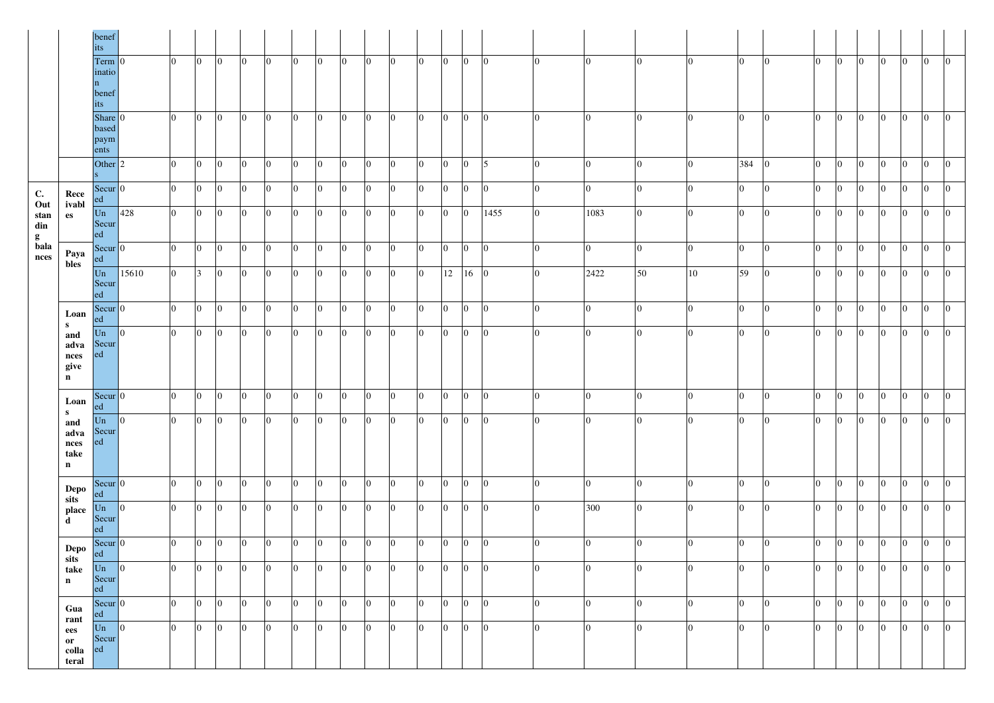|                       |                                                 | benef<br>1ts -                            |                |                 |                |                 |                |                 |                |                 |                 |                 |                |                |                 |                |                |                |                |                |                |                |                |                 |                 |                |                 |                 |                |                 |
|-----------------------|-------------------------------------------------|-------------------------------------------|----------------|-----------------|----------------|-----------------|----------------|-----------------|----------------|-----------------|-----------------|-----------------|----------------|----------------|-----------------|----------------|----------------|----------------|----------------|----------------|----------------|----------------|----------------|-----------------|-----------------|----------------|-----------------|-----------------|----------------|-----------------|
|                       |                                                 | Term $ 0$<br>inatio<br>n.<br>benef<br>its |                | $\overline{0}$  | $ 0\rangle$    | $ 0\rangle$     | $\overline{0}$ | $\overline{0}$  | $\overline{0}$ | $ 0\rangle$     | $\overline{0}$  | $\overline{0}$  | $\overline{0}$ | $\overline{0}$ | $ 0\rangle$     | $\overline{0}$ | $\overline{0}$ | $\overline{0}$ | $\overline{0}$ | $\overline{0}$ | $\overline{0}$ | $ 0\rangle$    | $\overline{0}$ | $\vert 0 \vert$ | $\vert 0 \vert$ | $\overline{0}$ | $\vert 0 \vert$ | $\overline{0}$  | $\overline{0}$ | $\vert 0 \vert$ |
|                       |                                                 | Share $ 0$<br>based<br>paym<br>ents       |                | $\overline{0}$  | $\overline{0}$ | $\overline{0}$  | $\overline{0}$ | $\overline{0}$  | $\overline{0}$ | $ 0\rangle$     | $ 0\rangle$     | $\overline{0}$  | $\overline{0}$ | $\overline{0}$ | $\vert 0 \vert$ | $\overline{0}$ | $\theta$       | $\overline{0}$ | $\overline{0}$ | 0              | $\overline{0}$ | $ 0\rangle$    | $\overline{0}$ | $ 0\rangle$     | $\overline{0}$  | $\overline{0}$ | $\overline{0}$  | $\overline{0}$  | $\overline{0}$ | $\overline{0}$  |
|                       |                                                 | Other $ 2$                                |                | $\overline{0}$  | $\overline{0}$ | $\overline{0}$  | $\overline{0}$ | $\overline{0}$  | $\overline{0}$ | $\overline{0}$  | $\overline{0}$  | $\overline{0}$  | $\overline{0}$ | $\overline{0}$ | $\overline{0}$  | $\overline{0}$ | 5              | $\overline{0}$ | $\overline{0}$ |                | $\overline{0}$ | 384 0          |                | $ 0\rangle$     | $\overline{0}$  | $\overline{0}$ | $ 0\rangle$     | $\overline{0}$  | $\overline{0}$ | $\vert 0 \vert$ |
| $\mathbf{C}$ .<br>Out | Rece<br>ivabl                                   | $Secur$ 0<br>ed                           |                | $\overline{0}$  | $\overline{0}$ | $\overline{0}$  | $\overline{0}$ | $\overline{0}$  | $\overline{0}$ | $\vert 0 \vert$ | $ 0\rangle$     | $\vert 0 \vert$ | $\overline{0}$ | $\overline{0}$ | $ 0\rangle$     | $\overline{0}$ | 10             | $\overline{0}$ | $\overline{0}$ |                | $\overline{0}$ | $ 0\rangle$    | $ 0\rangle$    | $ 0\rangle$     | $\vert 0 \vert$ | $\overline{0}$ | $\overline{0}$  | $\vert 0 \vert$ | $ 0\rangle$    | $\overline{0}$  |
| stan<br>din<br>g      | es                                              | Un<br>Secur<br>ed                         | 428            | $\overline{0}$  | $\overline{0}$ | $\overline{0}$  | $\overline{0}$ | $\overline{0}$  | $\overline{0}$ | $ 0\rangle$     | $\overline{0}$  | $\overline{0}$  | $\overline{0}$ | $\overline{0}$ | $ 0\rangle$     | $\overline{0}$ | 1455           | $\overline{0}$ | 1083           | $\overline{0}$ | $\overline{0}$ | $\overline{0}$ | $\overline{0}$ | $\overline{0}$  | 10              | $\overline{0}$ | $ 0\rangle$     | $\overline{0}$  | $ 0\rangle$    | $\overline{0}$  |
| bala<br>nces          | Paya<br>bles                                    | Secur 0<br>ed                             |                | $\overline{0}$  | $\overline{0}$ | 10              | $\overline{0}$ | $\overline{0}$  | $\overline{0}$ | 10              | $ 0\rangle$     | $\overline{0}$  | $\overline{0}$ | $\overline{0}$ | $\vert 0 \vert$ | $\overline{0}$ | 10             | $\overline{0}$ | $\overline{0}$ |                | $\overline{0}$ | $\overline{0}$ | $\overline{0}$ | $ 0\rangle$     | - 0             | $\overline{0}$ | $\overline{0}$  | $\vert 0 \vert$ | $ 0\rangle$    | $\vert 0 \vert$ |
|                       |                                                 | Un<br>Secur<br>ed                         | 15610          | $\overline{0}$  | 3              | 10              | $\overline{0}$ | $\overline{0}$  | $\overline{0}$ | 10              | $ 0\rangle$     | $\overline{0}$  | $\overline{0}$ | $\overline{0}$ | 12              | 16             | $\overline{0}$ | $\overline{0}$ | 2422           | 50             | 10             | 59             | $\overline{0}$ | $ 0\rangle$     | 10              | $\overline{0}$ | $\overline{0}$  | $\overline{0}$  | $\overline{0}$ | $\overline{0}$  |
|                       | Loan                                            | Secur 0<br>ed                             |                | $\overline{0}$  | $\overline{0}$ | 10              | $\overline{0}$ | $\overline{0}$  | $\overline{0}$ | 10.             | $ 0\rangle$     | $\overline{0}$  | $\overline{0}$ | $\overline{0}$ | $\overline{0}$  | $\overline{0}$ | 10             | $\overline{0}$ | $\overline{0}$ |                | $\overline{0}$ | $\overline{0}$ | $\overline{0}$ | $ 0\rangle$     | - 0             | $\overline{0}$ | $\overline{0}$  | $\overline{0}$  | $ 0\rangle$    | $\overline{0}$  |
|                       | S<br>and<br>adva<br>nces<br>give<br>$\mathbf n$ | Un<br>Secur<br>ed                         | $ 0\rangle$    | $\overline{0}$  | $\overline{0}$ | 10              | $ 0\rangle$    | $\overline{0}$  | $\overline{0}$ | 10              | $\overline{0}$  | $\overline{0}$  | $\overline{0}$ | $\overline{0}$ | $ 0\rangle$     | $\overline{0}$ |                | $\overline{0}$ | $\vert$ 0      | 0              | $\overline{0}$ | $\overline{0}$ | $\overline{0}$ | $ 0\rangle$     | - 0             | $\overline{0}$ | $\overline{0}$  | $\overline{0}$  | $\overline{0}$ | $\overline{0}$  |
|                       | Loan<br>$\mathbf{s}$                            | $\text{Secur}$ 0<br>ed                    |                | $\vert 0 \vert$ | $ 0\rangle$    | $\vert 0 \vert$ | $ 0\rangle$    | $ 0\rangle$     | $ 0\rangle$    | $\vert 0 \vert$ | $\vert 0 \vert$ | $ 0\rangle$     | $\overline{0}$ | $\overline{0}$ | $\vert 0 \vert$ | $\overline{0}$ |                | $\Omega$       | $\overline{0}$ |                | $\overline{0}$ | $\overline{0}$ | $\overline{0}$ | $\overline{0}$  | $\vert 0 \vert$ | $\overline{0}$ | $ 0\rangle$     | $ 0\rangle$     | $\mathbf{0}$   | $\overline{0}$  |
|                       | and<br>adva<br>nces<br>take<br>$\mathbf n$      | Un<br>Secur<br>ed                         | $\overline{0}$ | $\overline{0}$  | $ 0\rangle$    | $\vert 0 \vert$ | $ 0\rangle$    | $\vert 0 \vert$ | $\overline{0}$ | $ 0\rangle$     | $\overline{0}$  | $\overline{0}$  | $\overline{0}$ | $\overline{0}$ | $ 0\rangle$     | $\overline{0}$ |                | $\overline{0}$ | $\overline{0}$ |                | $\overline{0}$ | $\overline{0}$ | $\overline{0}$ | $\overline{0}$  | $\overline{0}$  | $\overline{0}$ | $\overline{0}$  | $\overline{0}$  | $\overline{0}$ | $\vert 0 \vert$ |
|                       | Depo<br>sits                                    | $\text{Secur}$ 0<br>ed                    |                | $\vert 0 \vert$ | $\overline{0}$ | $\overline{0}$  | $ 0\rangle$    | $\vert 0 \vert$ | $\overline{0}$ | $\vert 0 \vert$ | $\vert 0 \vert$ | $\overline{0}$  | $\overline{0}$ | $\overline{0}$ | $\vert 0 \vert$ | $\overline{0}$ | $\bf{0}$       | $\overline{0}$ | $\overline{0}$ | 0              | $\overline{0}$ | $ 0\rangle$    | $\overline{0}$ | $ 0\rangle$     | $\vert 0 \vert$ | $\overline{0}$ | $\overline{0}$  | $\overline{0}$  | $\overline{0}$ | $\overline{0}$  |
|                       | place<br>d                                      | $\overline{\text{Un}}$ 0<br>Secur<br>ed   |                | $\overline{0}$  | $\overline{0}$ | 10              | $ 0\rangle$    | $\vert 0 \vert$ | $\overline{0}$ | 10              | $ 0\rangle$     | $\vert 0 \vert$ | $\overline{0}$ | $\overline{0}$ | $\overline{0}$  | $\overline{0}$ |                | $\overline{0}$ | 300            | 0              | $\overline{0}$ | $ 0\rangle$    | $\overline{0}$ | $ 0\rangle$     | 10              | $\overline{0}$ | $\overline{0}$  | $\overline{0}$  | $ 0\rangle$    | $\vert 0 \vert$ |
|                       | Depo                                            | Secur 0<br>ed                             |                | $\overline{0}$  | $\overline{0}$ | $\overline{0}$  | $ 0\rangle$    | $\overline{0}$  | $\overline{0}$ | $\vert 0 \vert$ | $\vert 0 \vert$ | $\overline{0}$  | $\overline{0}$ | $\overline{0}$ | $\vert 0 \vert$ | $\overline{0}$ | $\bf{0}$       | $\overline{0}$ | $\overline{0}$ | - 0            | $\overline{0}$ | $\overline{0}$ | $\overline{0}$ | $ 0\rangle$     | $\overline{0}$  | $\overline{0}$ | $\overline{0}$  | $\overline{0}$  | $\overline{0}$ | $\vert 0 \vert$ |
|                       | sits<br>take<br>$\mathbf n$                     | $  \text{Un}  $<br>Secur<br>ed            |                | $\overline{0}$  | $\overline{0}$ | 10              | $ 0\rangle$    | $\overline{0}$  | $\overline{0}$ | $\overline{0}$  | $ 0\rangle$     | $\overline{0}$  | $\overline{0}$ | $\overline{0}$ | $\overline{0}$  | $\overline{0}$ |                | $\overline{0}$ | $\overline{0}$ |                | $\overline{0}$ | $ 0\rangle$    | $\overline{0}$ | $ 0\rangle$     | 10              | $\overline{0}$ | $\overline{0}$  | $\overline{0}$  | $ 0\rangle$    | $\vert 0 \vert$ |
|                       | Gua                                             | Secur 0<br>ed                             |                | $\overline{0}$  | $ 0\rangle$    | $\vert 0 \vert$ | $ 0\rangle$    | $\overline{0}$  | $\overline{0}$ | $\vert 0 \vert$ | $ 0\rangle$     | $ 0\rangle$     | $\overline{0}$ | $\overline{0}$ | $\overline{0}$  | $\overline{0}$ | 10             | $\overline{0}$ | $\overline{0}$ | 10             | $\overline{0}$ | $\overline{0}$ | $\overline{0}$ | $\overline{0}$  | $\overline{0}$  | $\overline{0}$ | $ 0\rangle$     | $\overline{0}$  | $\overline{0}$ | $\vert 0 \vert$ |
|                       | rant<br>ees<br>or<br>colla<br>teral             | Un<br>Secur<br>ed                         | $ 0\rangle$    | $\overline{0}$  | $\overline{0}$ | 10              | $\overline{0}$ | $\overline{0}$  | $\overline{0}$ | 10              | $\overline{0}$  | $\overline{0}$  | $\overline{0}$ | $\overline{0}$ | $\overline{0}$  | $\overline{0}$ |                | $\overline{0}$ | $\vert$ 0      |                | $\overline{0}$ | $\overline{0}$ | $\overline{0}$ | $ 0\rangle$     | 10              | $\overline{0}$ | $ 0\rangle$     | $\overline{0}$  | $\overline{0}$ | $\vert 0 \vert$ |